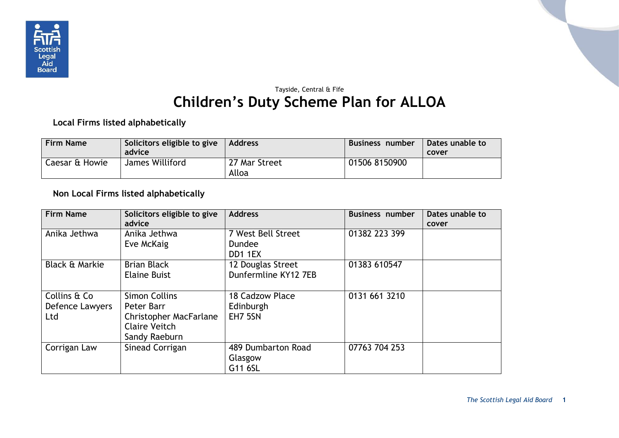

## Tayside, Central & Fife **Children's Duty Scheme Plan for ALLOA**

**Local Firms listed alphabetically**

| <b>Firm Name</b> | Solicitors eligible to give<br>advice | <b>Address</b>         | Business number | Dates unable to<br>cover |
|------------------|---------------------------------------|------------------------|-----------------|--------------------------|
| Caesar & Howie   | James Williford                       | 27 Mar Street<br>Alloa | 01506 8150900   |                          |

## **Non Local Firms listed alphabetically**

| <b>Firm Name</b>                       | Solicitors eligible to give<br>advice                                                                        | <b>Address</b>                                 | <b>Business number</b> | Dates unable to<br>cover |
|----------------------------------------|--------------------------------------------------------------------------------------------------------------|------------------------------------------------|------------------------|--------------------------|
| Anika Jethwa                           | Anika Jethwa<br>Eve McKaig                                                                                   | 7 West Bell Street<br><b>Dundee</b><br>DD1 1EX | 01382 223 399          |                          |
| Black & Markie                         | <b>Brian Black</b><br><b>Elaine Buist</b>                                                                    | 12 Douglas Street<br>Dunfermline KY12 7EB      | 01383 610547           |                          |
| Collins & Co<br>Defence Lawyers<br>Ltd | <b>Simon Collins</b><br>Peter Barr<br><b>Christopher MacFarlane</b><br><b>Claire Veitch</b><br>Sandy Raeburn | 18 Cadzow Place<br>Edinburgh<br>EH7 5SN        | 0131 661 3210          |                          |
| Corrigan Law                           | Sinead Corrigan                                                                                              | 489 Dumbarton Road<br>Glasgow<br>G11 6SL       | 07763 704 253          |                          |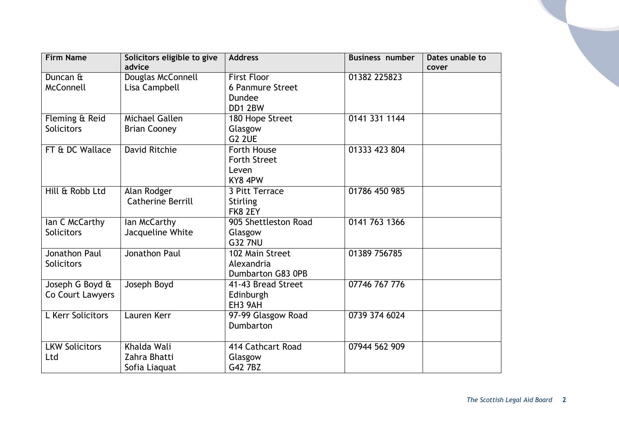| <b>Firm Name</b>      | Solicitors eligible to give<br>advice | <b>Address</b>          | <b>Business number</b> | Dates unable to<br>cover |
|-----------------------|---------------------------------------|-------------------------|------------------------|--------------------------|
| Duncan &              | Douglas McConnell                     | <b>First Floor</b>      | 01382 225823           |                          |
| McConnell             | Lisa Campbell                         | <b>6 Panmure Street</b> |                        |                          |
|                       |                                       | Dundee                  |                        |                          |
|                       |                                       | DD1 2BW                 |                        |                          |
| Fleming & Reid        | Michael Gallen                        | 180 Hope Street         | 0141 331 1144          |                          |
| <b>Solicitors</b>     | <b>Brian Cooney</b>                   | Glasgow                 |                        |                          |
|                       |                                       | G <sub>2</sub> 2UE      |                        |                          |
| FT & DC Wallace       | <b>David Ritchie</b>                  | Forth House             | 01333 423 804          |                          |
|                       |                                       | <b>Forth Street</b>     |                        |                          |
|                       |                                       | Leven                   |                        |                          |
|                       |                                       | KY8 4PW                 |                        |                          |
| Hill & Robb Ltd       | Alan Rodger                           | 3 Pitt Terrace          | 01786 450 985          |                          |
|                       | <b>Catherine Berrill</b>              | <b>Stirling</b>         |                        |                          |
|                       |                                       | FK8 2EY                 |                        |                          |
| Ian C McCarthy        | lan McCarthy                          | 905 Shettleston Road    | 0141 763 1366          |                          |
| <b>Solicitors</b>     | Jacqueline White                      | Glasgow                 |                        |                          |
|                       |                                       | <b>G32 7NU</b>          |                        |                          |
| Jonathon Paul         | Jonathon Paul                         | 102 Main Street         | 01389 756785           |                          |
| <b>Solicitors</b>     |                                       | Alexandria              |                        |                          |
|                       |                                       | Dumbarton G83 0PB       |                        |                          |
| Joseph G Boyd &       | Joseph Boyd                           | 41-43 Bread Street      | 07746 767 776          |                          |
| Co Court Lawyers      |                                       | Edinburgh               |                        |                          |
|                       |                                       | EH3 9AH                 |                        |                          |
| L Kerr Solicitors     | Lauren Kerr                           | 97-99 Glasgow Road      | 0739 374 6024          |                          |
|                       |                                       | Dumbarton               |                        |                          |
|                       |                                       |                         |                        |                          |
| <b>LKW Solicitors</b> | Khalda Wali                           | 414 Cathcart Road       | 07944 562 909          |                          |
| Ltd                   | Zahra Bhatti                          | Glasgow                 |                        |                          |
|                       | Sofia Liaquat                         | G42 7BZ                 |                        |                          |